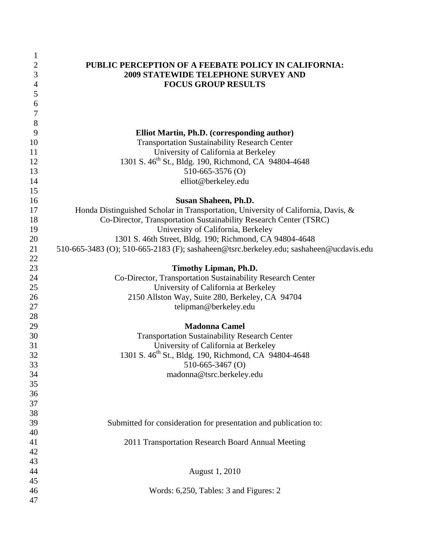| $\mathbf{1}$   |                                                                                        |
|----------------|----------------------------------------------------------------------------------------|
| $\mathbf{2}$   | PUBLIC PERCEPTION OF A FEEBATE POLICY IN CALIFORNIA:                                   |
| $\mathfrak{Z}$ | <b>2009 STATEWIDE TELEPHONE SURVEY AND</b>                                             |
| $\overline{4}$ | <b>FOCUS GROUP RESULTS</b>                                                             |
| 5              |                                                                                        |
| 6              |                                                                                        |
| $\tau$         |                                                                                        |
| 8              |                                                                                        |
| 9              | Elliot Martin, Ph.D. (corresponding author)                                            |
| 10             | <b>Transportation Sustainability Research Center</b>                                   |
| 11             | University of California at Berkeley                                                   |
| 12             | 1301 S. 46 <sup>th</sup> St., Bldg. 190, Richmond, CA 94804-4648                       |
| 13             | $510-665-3576$ (O)                                                                     |
| 14             | elliot@berkeley.edu                                                                    |
| 15             |                                                                                        |
| 16             | <b>Susan Shaheen, Ph.D.</b>                                                            |
| 17             | Honda Distinguished Scholar in Transportation, University of California, Davis, &      |
| 18             | Co-Director, Transportation Sustainability Research Center (TSRC)                      |
| 19             | University of California, Berkeley                                                     |
| 20             | 1301 S. 46th Street, Bldg. 190; Richmond, CA 94804-4648                                |
| 21             | 510-665-3483 (O); 510-665-2183 (F); sashaheen@tsrc.berkeley.edu; sashaheen@ucdavis.edu |
| 22             |                                                                                        |
| 23             | Timothy Lipman, Ph.D.                                                                  |
| 24             | Co-Director, Transportation Sustainability Research Center                             |
| 25             | University of California at Berkeley                                                   |
| 26             | 2150 Allston Way, Suite 280, Berkeley, CA 94704                                        |
| 27             | telipman@berkeley.edu                                                                  |
| 28             |                                                                                        |
| 29             | <b>Madonna Camel</b>                                                                   |
| 30             | <b>Transportation Sustainability Research Center</b>                                   |
| 31             | University of California at Berkeley                                                   |
| 32             | 1301 S. 46 <sup>th</sup> St., Bldg. 190, Richmond, CA 94804-4648                       |
| 33             | 510-665-3467 (O)                                                                       |
| 34             | madonna@tsrc.berkeley.edu                                                              |
| 35             |                                                                                        |
| 36             |                                                                                        |
| 37             |                                                                                        |
| 38             |                                                                                        |
| 39             | Submitted for consideration for presentation and publication to:                       |
| 40             |                                                                                        |
| 41             | 2011 Transportation Research Board Annual Meeting                                      |
| 42             |                                                                                        |
| 43             |                                                                                        |
| 44             | August 1, 2010                                                                         |
| 45             |                                                                                        |
| 46             | Words: 6,250, Tables: 3 and Figures: 2                                                 |
| 47             |                                                                                        |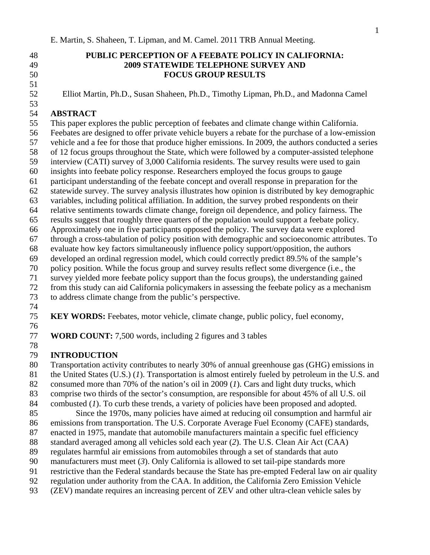51

53

## 48 **PUBLIC PERCEPTION OF A FEEBATE POLICY IN CALIFORNIA:**  49 **2009 STATEWIDE TELEPHONE SURVEY AND**  50 **FOCUS GROUP RESULTS**

52 Elliot Martin, Ph.D., Susan Shaheen, Ph.D., Timothy Lipman, Ph.D., and Madonna Camel

## 54 **ABSTRACT**

55 This paper explores the public perception of feebates and climate change within California.

- 56 Feebates are designed to offer private vehicle buyers a rebate for the purchase of a low-emission
- 57 vehicle and a fee for those that produce higher emissions. In 2009, the authors conducted a series
- 58 of 12 focus groups throughout the State, which were followed by a computer-assisted telephone
- 59 interview (CATI) survey of 3,000 California residents. The survey results were used to gain
- 60 insights into feebate policy response. Researchers employed the focus groups to gauge
- 61 participant understanding of the feebate concept and overall response in preparation for the
- 62 statewide survey. The survey analysis illustrates how opinion is distributed by key demographic
- 63 variables, including political affiliation. In addition, the survey probed respondents on their
- 64 relative sentiments towards climate change, foreign oil dependence, and policy fairness. The
- 65 results suggest that roughly three quarters of the population would support a feebate policy.
- 66 Approximately one in five participants opposed the policy. The survey data were explored
- 67 through a cross-tabulation of policy position with demographic and socioeconomic attributes. To
- 68 evaluate how key factors simultaneously influence policy support/opposition, the authors
- 69 developed an ordinal regression model, which could correctly predict 89.5% of the sample's
- 70 policy position. While the focus group and survey results reflect some divergence (i.e., the
- 71 survey yielded more feebate policy support than the focus groups), the understanding gained
- 72 from this study can aid California policymakers in assessing the feebate policy as a mechanism 73 to address climate change from the public's perspective.
- 74
- 75 **KEY WORDS:** Feebates, motor vehicle, climate change, public policy, fuel economy,
- 76

78

77 **WORD COUNT:** 7,500 words, including 2 figures and 3 tables

## 79 **INTRODUCTION**

- 80 Transportation activity contributes to nearly 30% of annual greenhouse gas (GHG) emissions in
- 81 the United States (U.S.) (*1*). Transportation is almost entirely fueled by petroleum in the U.S. and
- 82 consumed more than 70% of the nation's oil in 2009 (*1*). Cars and light duty trucks, which
- 83 comprise two thirds of the sector's consumption, are responsible for about 45% of all U.S. oil
- 84 combusted (*1*). To curb these trends, a variety of policies have been proposed and adopted.
- 85 Since the 1970s, many policies have aimed at reducing oil consumption and harmful air
- 86 emissions from transportation. The U.S. Corporate Average Fuel Economy (CAFE) standards,
- 87 enacted in 1975, mandate that automobile manufacturers maintain a specific fuel efficiency
- 88 standard averaged among all vehicles sold each year (*2*). The U.S. Clean Air Act (CAA)
- 89 regulates harmful air emissions from automobiles through a set of standards that auto
- 90 manufacturers must meet (*3*). Only California is allowed to set tail-pipe standards more
- 91 restrictive than the Federal standards because the State has pre-empted Federal law on air quality
- 92 regulation under authority from the CAA. In addition, the California Zero Emission Vehicle
- 93 (ZEV) mandate requires an increasing percent of ZEV and other ultra-clean vehicle sales by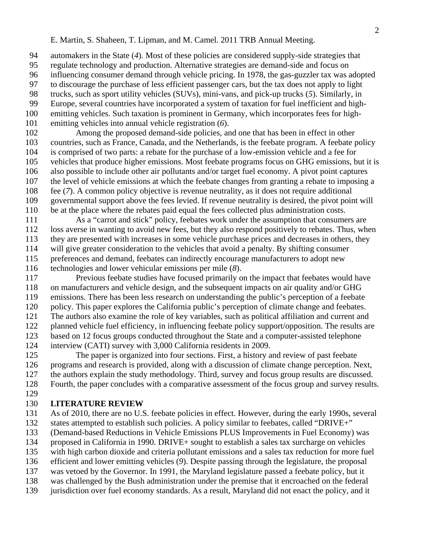94 automakers in the State (*4*). Most of these policies are considered supply-side strategies that 95 regulate technology and production. Alternative strategies are demand-side and focus on 96 influencing consumer demand through vehicle pricing. In 1978, the gas-guzzler tax was adopted 97 to discourage the purchase of less efficient passenger cars, but the tax does not apply to light

98 trucks, such as sport utility vehicles (SUVs), mini-vans, and pick-up trucks (*5*). Similarly, in 99 Europe, several countries have incorporated a system of taxation for fuel inefficient and high-

100 emitting vehicles. Such taxation is prominent in Germany, which incorporates fees for high-101 emitting vehicles into annual vehicle registration (*6*).

102 Among the proposed demand-side policies, and one that has been in effect in other 103 countries, such as France, Canada, and the Netherlands, is the feebate program. A feebate policy 104 is comprised of two parts: a rebate for the purchase of a low-emission vehicle and a fee for 105 vehicles that produce higher emissions. Most feebate programs focus on GHG emissions, but it is 106 also possible to include other air pollutants and/or target fuel economy. A pivot point captures 107 the level of vehicle emissions at which the feebate changes from granting a rebate to imposing a 108 fee (*7*). A common policy objective is revenue neutrality, as it does not require additional 109 governmental support above the fees levied. If revenue neutrality is desired, the pivot point will 110 be at the place where the rebates paid equal the fees collected plus administration costs.

111 As a "carrot and stick" policy, feebates work under the assumption that consumers are 112 loss averse in wanting to avoid new fees, but they also respond positively to rebates. Thus, when 113 they are presented with increases in some vehicle purchase prices and decreases in others, they 114 will give greater consideration to the vehicles that avoid a penalty. By shifting consumer 115 preferences and demand, feebates can indirectly encourage manufacturers to adopt new 116 technologies and lower vehicular emissions per mile (*8*).

117 Previous feebate studies have focused primarily on the impact that feebates would have 118 on manufacturers and vehicle design, and the subsequent impacts on air quality and/or GHG 119 emissions. There has been less research on understanding the public's perception of a feebate 120 policy. This paper explores the California public's perception of climate change and feebates. 121 The authors also examine the role of key variables, such as political affiliation and current and 122 planned vehicle fuel efficiency, in influencing feebate policy support/opposition. The results are 123 based on 12 focus groups conducted throughout the State and a computer-assisted telephone 124 interview (CATI) survey with 3,000 California residents in 2009.

125 The paper is organized into four sections. First, a history and review of past feebate 126 programs and research is provided, along with a discussion of climate change perception. Next, 127 the authors explain the study methodology. Third, survey and focus group results are discussed. 128 Fourth, the paper concludes with a comparative assessment of the focus group and survey results. 129

#### 130 **LITERATURE REVIEW**

131 As of 2010, there are no U.S. feebate policies in effect. However, during the early 1990s, several

132 states attempted to establish such policies. A policy similar to feebates, called "DRIVE+"

133 (Demand-based Reductions in Vehicle Emissions PLUS Improvements in Fuel Economy) was

134 proposed in California in 1990. DRIVE+ sought to establish a sales tax surcharge on vehicles

135 with high carbon dioxide and criteria pollutant emissions and a sales tax reduction for more fuel

136 efficient and lower emitting vehicles (*9*). Despite passing through the legislature, the proposal

137 was vetoed by the Governor. In 1991, the Maryland legislature passed a feebate policy, but it

138 was challenged by the Bush administration under the premise that it encroached on the federal

139 jurisdiction over fuel economy standards. As a result, Maryland did not enact the policy, and it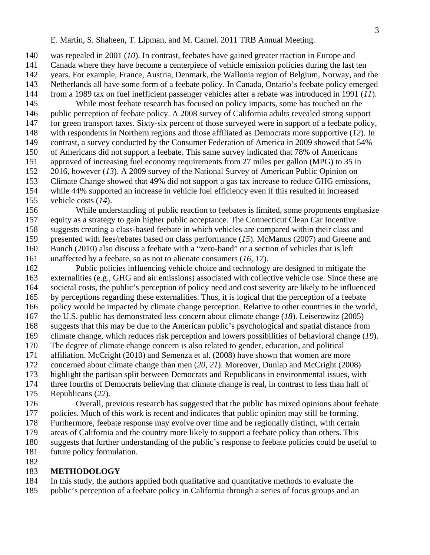140 was repealed in 2001 (*10*). In contrast, feebates have gained greater traction in Europe and

141 Canada where they have become a centerpiece of vehicle emission policies during the last ten

- 142 years. For example, France, Austria, Denmark, the Wallonia region of Belgium, Norway, and the
- 143 Netherlands all have some form of a feebate policy. In Canada, Ontario's feebate policy emerged
- 144 from a 1989 tax on fuel inefficient passenger vehicles after a rebate was introduced in 1991 (*11*).
- 145 While most feebate research has focused on policy impacts, some has touched on the 146 public perception of feebate policy. A 2008 survey of California adults revealed strong support
- 147 for green transport taxes. Sixty-six percent of those surveyed were in support of a feebate policy,
- 148 with respondents in Northern regions and those affiliated as Democrats more supportive (*12*). In
- 149 contrast, a survey conducted by the Consumer Federation of America in 2009 showed that 54%
- 150 of Americans did not support a feebate. This same survey indicated that 78% of Americans 151 approved of increasing fuel economy requirements from 27 miles per gallon (MPG) to 35 in
- 152 2016, however (*13*). A 2009 survey of the National Survey of American Public Opinion on
- 153 Climate Change showed that 49% did not support a gas tax increase to reduce GHG emissions,
- 154 while 44% supported an increase in vehicle fuel efficiency even if this resulted in increased
- 155 vehicle costs (*14*).
- 156 While understanding of public reaction to feebates is limited, some proponents emphasize 157 equity as a strategy to gain higher public acceptance. The Connecticut Clean Car Incentive 158 suggests creating a class-based feebate in which vehicles are compared within their class and 159 presented with fees/rebates based on class performance (*15*). McManus (2007) and Greene and
- 160 Bunch (2010) also discuss a feebate with a "zero-band" or a section of vehicles that is left
- 161 unaffected by a feebate, so as not to alienate consumers (*16*, *17*).
- 162 Public policies influencing vehicle choice and technology are designed to mitigate the 163 externalities (e.g., GHG and air emissions) associated with collective vehicle use. Since these are 164 societal costs, the public's perception of policy need and cost severity are likely to be influenced 165 by perceptions regarding these externalities. Thus, it is logical that the perception of a feebate 166 policy would be impacted by climate change perception. Relative to other countries in the world, 167 the U.S. public has demonstrated less concern about climate change (*18*). Leiserowitz (2005) 168 suggests that this may be due to the American public's psychological and spatial distance from 169 climate change, which reduces risk perception and lowers possibilities of behavioral change (*19*). 170 The degree of climate change concern is also related to gender, education, and political 171 affiliation. McCright (2010) and Semenza et al. (2008) have shown that women are more 172 concerned about climate change than men (*20*, *21*). Moreover, Dunlap and McCright (2008) 173 highlight the partisan split between Democrats and Republicans in environmental issues, with 174 three fourths of Democrats believing that climate change is real, in contrast to less than half of 175 Republicans (*22*).
- 176 Overall, previous research has suggested that the public has mixed opinions about feebate 177 policies. Much of this work is recent and indicates that public opinion may still be forming.
- 178 Furthermore, feebate response may evolve over time and be regionally distinct, with certain
- 179 areas of California and the country more likely to support a feebate policy than others. This
- 180 suggests that further understanding of the public's response to feebate policies could be useful to
- 181 future policy formulation.
- 182

## 183 **METHODOLOGY**

- 184 In this study, the authors applied both qualitative and quantitative methods to evaluate the
- 185 public's perception of a feebate policy in California through a series of focus groups and an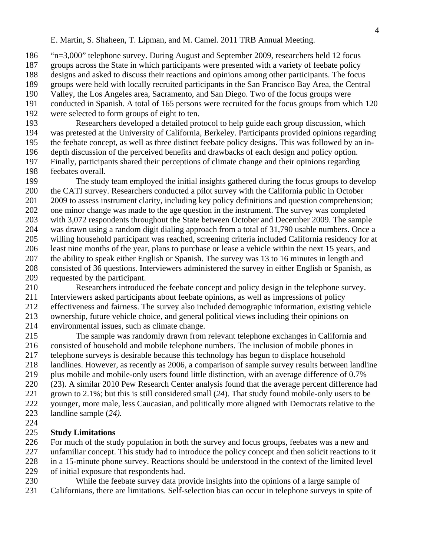186 "n=3,000" telephone survey. During August and September 2009, researchers held 12 focus

- 187 groups across the State in which participants were presented with a variety of feebate policy
- 188 designs and asked to discuss their reactions and opinions among other participants. The focus
- 189 groups were held with locally recruited participants in the San Francisco Bay Area, the Central
- 190 Valley, the Los Angeles area, Sacramento, and San Diego. Two of the focus groups were
- 191 conducted in Spanish. A total of 165 persons were recruited for the focus groups from which 120 192 were selected to form groups of eight to ten.
- 193 Researchers developed a detailed protocol to help guide each group discussion, which 194 was pretested at the University of California, Berkeley. Participants provided opinions regarding 195 the feebate concept, as well as three distinct feebate policy designs. This was followed by an in-196 depth discussion of the perceived benefits and drawbacks of each design and policy option. 197 Finally, participants shared their perceptions of climate change and their opinions regarding 198 feebates overall.
- 199 The study team employed the initial insights gathered during the focus groups to develop 200 the CATI survey. Researchers conducted a pilot survey with the California public in October 201 2009 to assess instrument clarity, including key policy definitions and question comprehension; 202 one minor change was made to the age question in the instrument. The survey was completed 203 with 3,072 respondents throughout the State between October and December 2009. The sample 204 was drawn using a random digit dialing approach from a total of 31,790 usable numbers. Once a 205 willing household participant was reached, screening criteria included California residency for at 206 least nine months of the year, plans to purchase or lease a vehicle within the next 15 years, and 207 the ability to speak either English or Spanish. The survey was 13 to 16 minutes in length and 208 consisted of 36 questions. Interviewers administered the survey in either English or Spanish, as 209 requested by the participant.
- 210 Researchers introduced the feebate concept and policy design in the telephone survey. 211 Interviewers asked participants about feebate opinions, as well as impressions of policy 212 effectiveness and fairness. The survey also included demographic information, existing vehicle 213 ownership, future vehicle choice, and general political views including their opinions on 214 environmental issues, such as climate change.
- 215 The sample was randomly drawn from relevant telephone exchanges in California and 216 consisted of household and mobile telephone numbers. The inclusion of mobile phones in 217 telephone surveys is desirable because this technology has begun to displace household 218 landlines. However, as recently as 2006, a comparison of sample survey results between landline 219 plus mobile and mobile-only users found little distinction, with an average difference of 0.7% 220 (23). A similar 2010 Pew Research Center analysis found that the average percent difference had 221 grown to 2.1%; but this is still considered small (*24*). That study found mobile-only users to be 222 younger, more male, less Caucasian, and politically more aligned with Democrats relative to the
- 223 landline sample (*24).*
- 224

# 225 **Study Limitations**

- 226 For much of the study population in both the survey and focus groups, feebates was a new and
- 227 unfamiliar concept. This study had to introduce the policy concept and then solicit reactions to it
- 228 in a 15-minute phone survey. Reactions should be understood in the context of the limited level
- 229 of initial exposure that respondents had.
- 230 While the feebate survey data provide insights into the opinions of a large sample of 231 Californians, there are limitations. Self-selection bias can occur in telephone surveys in spite of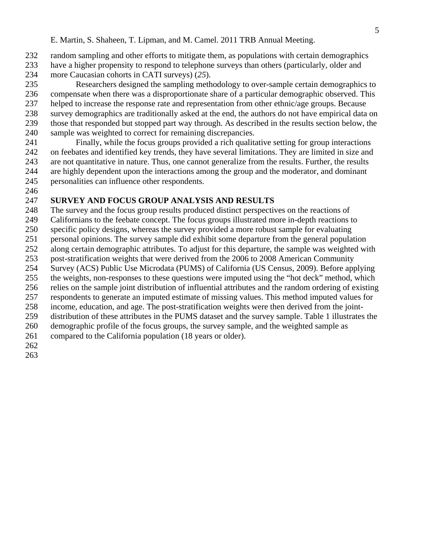- 232 random sampling and other efforts to mitigate them, as populations with certain demographics
- 233 have a higher propensity to respond to telephone surveys than others (particularly, older and
- 234 more Caucasian cohorts in CATI surveys) (*25*).
- 235 Researchers designed the sampling methodology to over-sample certain demographics to 236 compensate when there was a disproportionate share of a particular demographic observed. This 237 helped to increase the response rate and representation from other ethnic/age groups. Because 238 survey demographics are traditionally asked at the end, the authors do not have empirical data on 239 those that responded but stopped part way through. As described in the results section below, the 240 sample was weighted to correct for remaining discrepancies.
- 241 Finally, while the focus groups provided a rich qualitative setting for group interactions 242 on feebates and identified key trends, they have several limitations. They are limited in size and 243 are not quantitative in nature. Thus, one cannot generalize from the results. Further, the results 244 are highly dependent upon the interactions among the group and the moderator, and dominant 245 personalities can influence other respondents.
- 246

## 247 **SURVEY AND FOCUS GROUP ANALYSIS AND RESULTS**

- 248 The survey and the focus group results produced distinct perspectives on the reactions of
- 249 Californians to the feebate concept. The focus groups illustrated more in-depth reactions to
- 250 specific policy designs, whereas the survey provided a more robust sample for evaluating
- 251 personal opinions. The survey sample did exhibit some departure from the general population
- 252 along certain demographic attributes. To adjust for this departure, the sample was weighted with
- 253 post-stratification weights that were derived from the 2006 to 2008 American Community
- 254 Survey (ACS) Public Use Microdata (PUMS) of California (US Census, 2009). Before applying
- 255 the weights, non-responses to these questions were imputed using the "hot deck" method, which
- 256 relies on the sample joint distribution of influential attributes and the random ordering of existing
- 257 respondents to generate an imputed estimate of missing values. This method imputed values for 258 income, education, and age. The post-stratification weights were then derived from the joint-
- 259 distribution of these attributes in the PUMS dataset and the survey sample. Table 1 illustrates the
- 260 demographic profile of the focus groups, the survey sample, and the weighted sample as
- 261 compared to the California population (18 years or older).
- 
- 262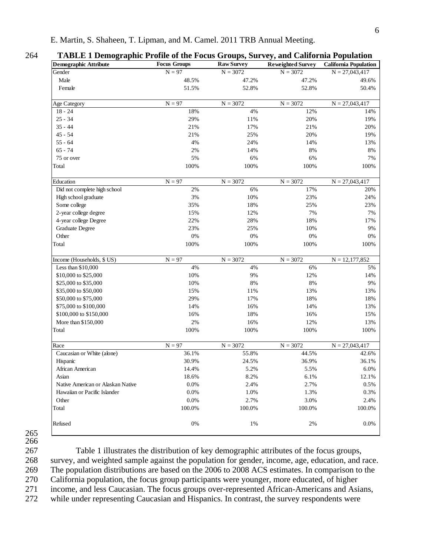| <b>Demographic Attribute</b>      | <b>Focus Groups</b> | <b>Raw Survey</b> | <b>Reweighted Survey</b> | <b>California Population</b> |
|-----------------------------------|---------------------|-------------------|--------------------------|------------------------------|
| Gender                            | $N = 97$            | $N = 3072$        | $N = 3072$               | $N = 27,043,417$             |
| Male                              | 48.5%               | 47.2%             | 47.2%                    | 49.6%                        |
| Female                            | 51.5%               | 52.8%             | 52.8%                    | 50.4%                        |
| Age Category                      | $N = 97$            | $N = 3072$        | $N = 3072$               | $N = 27,043,417$             |
| $18 - 24$                         | 18%                 | 4%                | 12%                      | 14%                          |
| $25 - 34$                         | 29%                 | 11%               | 20%                      | 19%                          |
| $35 - 44$                         | 21%                 | 17%               | 21%                      | 20%                          |
| $45 - 54$                         | 21%                 | 25%               | 20%                      | 19%                          |
| $55 - 64$                         | 4%                  | 24%               | 14%                      | 13%                          |
| $65 - 74$                         | 2%                  | 14%               | 8%                       | 8%                           |
| 75 or over                        | 5%                  | 6%                | 6%                       | 7%                           |
| Total                             | 100%                | 100%              | 100%                     | 100%                         |
| Education                         | $N = 97$            | $N = 3072$        | $N = 3072$               | $N = 27,043,417$             |
| Did not complete high school      | 2%                  | 6%                | 17%                      | 20%                          |
| High school graduate              | 3%                  | 10%               | 23%                      | 24%                          |
| Some college                      | 35%                 | 18%               | 25%                      | 23%                          |
| 2-year college degree             | 15%                 | 12%               | 7%                       | 7%                           |
| 4-year college Degree             | 22%                 | 28%               | 18%                      | 17%                          |
| <b>Graduate Degree</b>            | 23%                 | 25%               | 10%                      | 9%                           |
| Other                             | $0\%$               | 0%                | 0%                       | 0%                           |
| Total                             | 100%                | 100%              | 100%                     | 100%                         |
| Income (Households, \$ US)        | $N = 97$            | $N = 3072$        | $N = 3072$               | $N = 12,177,852$             |
| Less than \$10,000                | 4%                  | 4%                | 6%                       | 5%                           |
| \$10,000 to \$25,000              | 10%                 | 9%                | 12%                      | 14%                          |
| \$25,000 to \$35,000              | 10%                 | $8\%$             | $8\%$                    | 9%                           |
| \$35,000 to \$50,000              | 15%                 | 11%               | 13%                      | 13%                          |
| \$50,000 to \$75,000              | 29%                 | 17%               | 18%                      | 18%                          |
| \$75,000 to \$100,000             | 14%                 | 16%               | 14%                      | 13%                          |
| \$100,000 to \$150,000            | 16%                 | 18%               | 16%                      | 15%                          |
| More than \$150,000               | 2%                  | 16%               | 12%                      | 13%                          |
| Total                             | 100%                | 100%              | 100%                     | 100%                         |
| Race                              | $N = 97$            | $N = 3072$        | $N = 3072$               | $N = 27,043,417$             |
| Caucasian or White (alone)        | 36.1%               | 55.8%             | 44.5%                    | 42.6%                        |
| Hispanic                          | 30.9%               | 24.5%             | 36.9%                    | 36.1%                        |
| African American                  | 14.4%               | 5.2%              | 5.5%                     | 6.0%                         |
| Asian                             | 18.6%               | 8.2%              | 6.1%                     | 12.1%                        |
| Native American or Alaskan Native | 0.0%                | 2.4%              | 2.7%                     | 0.5%                         |
| Hawaiian or Pacific Islander      | 0.0%                | 1.0%              | 1.3%                     | 0.3%                         |
| Other                             | 0.0%                | 2.7%              | 3.0%                     | 2.4%                         |
| Total                             | 100.0%              | 100.0%            | 100.0%                   | 100.0%                       |
| Refused                           | 0%                  | 1%                | 2%                       | 0.0%                         |
|                                   |                     |                   |                          |                              |

265 266

267 Table 1 illustrates the distribution of key demographic attributes of the focus groups, 268 survey, and weighted sample against the population for gender, income, age, education, and race. 269 The population distributions are based on the 2006 to 2008 ACS estimates. In comparison to the 270 California population, the focus group participants were younger, more educated, of higher 271 income, and less Caucasian. The focus groups over-represented African-Americans and Asians,

272 while under representing Caucasian and Hispanics. In contrast, the survey respondents were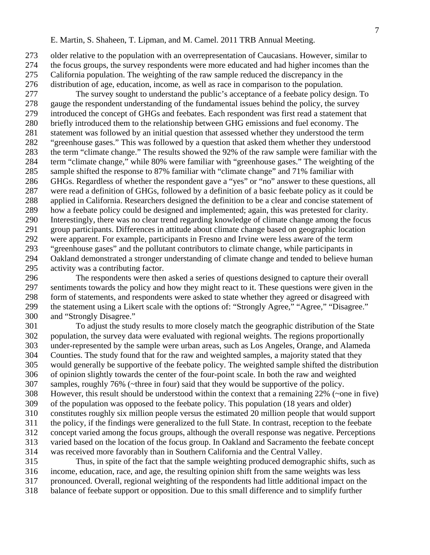273 older relative to the population with an overrepresentation of Caucasians. However, similar to 274 the focus groups, the survey respondents were more educated and had higher incomes than the 275 California population. The weighting of the raw sample reduced the discrepancy in the 276 distribution of age, education, income, as well as race in comparison to the population.

277 The survey sought to understand the public's acceptance of a feebate policy design. To 278 gauge the respondent understanding of the fundamental issues behind the policy, the survey 279 introduced the concept of GHGs and feebates. Each respondent was first read a statement that 280 briefly introduced them to the relationship between GHG emissions and fuel economy. The 281 statement was followed by an initial question that assessed whether they understood the term 282 "greenhouse gases." This was followed by a question that asked them whether they understood 283 the term "climate change." The results showed the 92% of the raw sample were familiar with the 284 term "climate change," while 80% were familiar with "greenhouse gases." The weighting of the 285 sample shifted the response to 87% familiar with "climate change" and 71% familiar with 286 GHGs. Regardless of whether the respondent gave a "yes" or "no" answer to these questions, all 287 were read a definition of GHGs, followed by a definition of a basic feebate policy as it could be 288 applied in California. Researchers designed the definition to be a clear and concise statement of 289 how a feebate policy could be designed and implemented; again, this was pretested for clarity. 290 Interestingly, there was no clear trend regarding knowledge of climate change among the focus 291 group participants. Differences in attitude about climate change based on geographic location 292 were apparent. For example, participants in Fresno and Irvine were less aware of the term 293 "greenhouse gases" and the pollutant contributors to climate change, while participants in 294 Oakland demonstrated a stronger understanding of climate change and tended to believe human 295 activity was a contributing factor.

296 The respondents were then asked a series of questions designed to capture their overall 297 sentiments towards the policy and how they might react to it. These questions were given in the 298 form of statements, and respondents were asked to state whether they agreed or disagreed with 299 the statement using a Likert scale with the options of: "Strongly Agree," "Agree," "Disagree." 300 and "Strongly Disagree."

301 To adjust the study results to more closely match the geographic distribution of the State 302 population, the survey data were evaluated with regional weights. The regions proportionally 303 under-represented by the sample were urban areas, such as Los Angeles, Orange, and Alameda 304 Counties. The study found that for the raw and weighted samples, a majority stated that they 305 would generally be supportive of the feebate policy. The weighted sample shifted the distribution 306 of opinion slightly towards the center of the four-point scale. In both the raw and weighted 307 samples, roughly 76% (~three in four) said that they would be supportive of the policy. 308 However, this result should be understood within the context that a remaining 22% (~one in five) 309 of the population was opposed to the feebate policy. This population (18 years and older) 310 constitutes roughly six million people versus the estimated 20 million people that would support 311 the policy, if the findings were generalized to the full State. In contrast, reception to the feebate 312 concept varied among the focus groups, although the overall response was negative. Perceptions 313 varied based on the location of the focus group. In Oakland and Sacramento the feebate concept 314 was received more favorably than in Southern California and the Central Valley.

315 Thus, in spite of the fact that the sample weighting produced demographic shifts, such as 316 income, education, race, and age, the resulting opinion shift from the same weights was less 317 pronounced. Overall, regional weighting of the respondents had little additional impact on the

318 balance of feebate support or opposition. Due to this small difference and to simplify further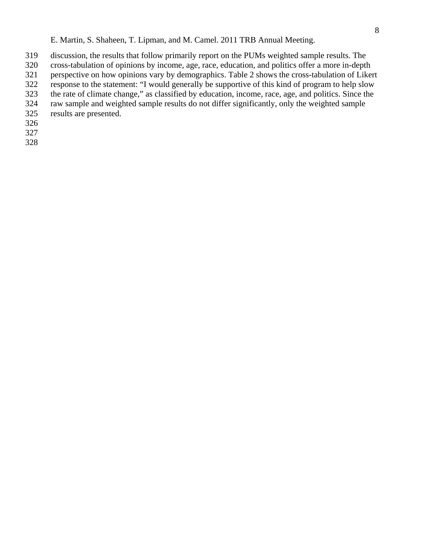- 319 discussion, the results that follow primarily report on the PUMs weighted sample results. The
- 320 cross-tabulation of opinions by income, age, race, education, and politics offer a more in-depth
- 321 perspective on how opinions vary by demographics. Table 2 shows the cross-tabulation of Likert
- 322 response to the statement: "I would generally be supportive of this kind of program to help slow 323 the rate of climate change," as classified by education, income, race, age, and politics. Since the
- 324 raw sample and weighted sample results do not differ significantly, only the weighted sample
- 325 results are presented.
- 326
- 327
- 328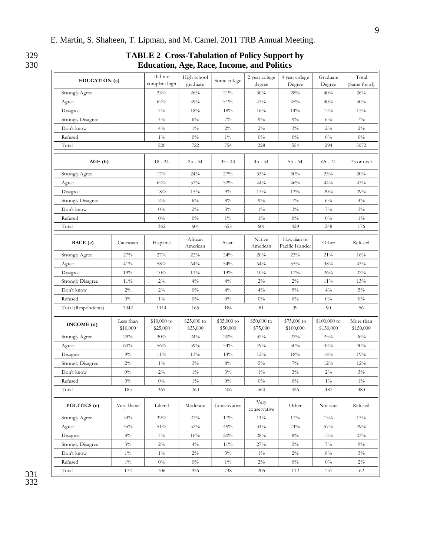#### 329 **TABLE 2 Cross-Tabulation of Policy Support by**  330 **Education, Age, Race, Income, and Politics**

|                          |                       | Education, Age, Race, Income, and I ontics |                          |                         |                          |                                 |                           |                         |
|--------------------------|-----------------------|--------------------------------------------|--------------------------|-------------------------|--------------------------|---------------------------------|---------------------------|-------------------------|
| EDUCATION (a)            |                       | Did not<br>complete high                   | High school<br>graduate  | Some college            | 2-year college<br>degree | 4-year college<br>Degree        | Graduate<br>Degree        | Total<br>(Same for all) |
| Strongly Agree           |                       | 23%                                        | 26%                      | 21%                     | 30%                      | 28%                             | 40%                       | 26%                     |
| Agree                    |                       | 62%                                        | 49%                      | 51%                     | 43%                      | 45%                             | 40%                       | 50%                     |
| Disagree                 |                       | $7\%$                                      | 18%                      | 18%                     | 16%                      | 14%                             | 12%                       | 15%                     |
| <b>Strongly Disagree</b> |                       | $4\%$                                      | $6\%$                    | $7\%$                   | $9\%$                    | $9\%$                           | $6\%$                     | $7\%$                   |
| Don't know               |                       | $4\%$                                      | $1\%$                    | $2\%$                   | $2\%$                    | $3\%$                           | $2\%$                     | $2\%$                   |
| Refused                  |                       | $1\%$                                      | $0\%$                    | $1\%$                   | $0\%$                    | $0\%$                           | $0\%$                     | $0\%$                   |
| Total                    |                       | 520                                        | 722                      | 754                     | 228                      | 554                             | 294                       | 3072                    |
| AGE(b)                   |                       | $18 - 24$                                  | $25 - 34$                | $35 - 44$               | $45 - 54$                | $55 - 64$                       | $65 - 74$                 | 75 or over              |
| Strongly Agree           |                       | 17%                                        | 24%                      | 27%                     | 33%                      | 30%                             | 23%                       | 20%                     |
| Agree                    |                       | 62%                                        | 52%                      | 52%                     | 44%                      | 46%                             | 44%                       | 43%                     |
| Disagree                 |                       | 18%                                        | 15%                      | $9\%$                   | 13%                      | 13%                             | 20%                       | 29%                     |
| <b>Strongly Disagree</b> |                       | $2\%$                                      | $6\%$                    | 8%                      | $9\%$                    | $7\%$                           | $6\%$                     | $4\%$                   |
| Don't know               |                       | $0\%$                                      | $2\%$                    | $3\%$                   | $1\%$                    | $3\%$                           | $7\%$                     | $3\%$                   |
| Refused                  |                       | $0\%$                                      | 0%                       | $1\%$                   | $1\%$                    | $0\%$                           | $0\%$                     | $1\%$                   |
| Total                    |                       | 362                                        | 604                      | 653                     | 601                      | 429                             | 248                       | 176                     |
| RACE(c)                  | Caucasian             | Hispanic                                   | African<br>American      | Asian                   | Native<br>American       | Hawaiian or<br>Pacific Islander | Other                     | Refused                 |
| Strongly Agree           | 27%                   | 27%                                        | 22%                      | 24%                     | 20%                      | 23%                             | 21%                       | 16%                     |
| Agree                    | 41%                   | 58%                                        | 64%                      | 54%                     | 64%                      | 55%                             | 38%                       | 43%                     |
| Disagree                 | 19%                   | 10%                                        | 11%                      | 13%                     | 10%                      | 11%                             | 26%                       | 22%                     |
| Strongly Disagree        | 11%                   | $2\%$                                      | $4\%$                    | $4\%$                   | $2\%$                    | $2\%$                           | 11%                       | 13%                     |
| Don't know               | $2\%$                 | $2\%$                                      | $0\%$                    | $4\%$                   | $4\%$                    | $9\%$                           | $4\%$                     | $5\%$                   |
| Refused                  | $0\%$                 | $1\%$                                      | $0\%$                    | $0\%$                   | $0\%$                    | $0\%$                           | $0\%$                     | $0\%$                   |
| Total (Respondents)      | 1342                  | 1114                                       | 165                      | 184                     | 81                       | 39                              | 90                        | 56                      |
| INCOME(d)                | Less than<br>\$10,000 | $$10,000$ to<br>\$25,000                   | $$25,000$ to<br>\$35,000 | \$35,000 to<br>\$50,000 | $$50,000$ to<br>\$75,000 | \$75,000 to<br>\$100,000        | \$100,000 to<br>\$150,000 | More than<br>\$150,000  |
| Strongly Agree           | 29%                   | 30%                                        | 24%                      | 20%                     | 32%                      | 22%                             | 25%                       | 26%                     |
| Agree                    | 60%                   | 56%                                        | 59%                      | 54%                     | 49%                      | 50%                             | 42%                       | 40%                     |
| Disagree                 | $9\%$                 | 11%                                        | 13%                      | 14%                     | 12%                      | 18%                             | 18%                       | 19%                     |
| <b>Strongly Disagree</b> | $2\%$                 | $1\%$                                      | $3\%$                    | $8\%$                   | $5\%$                    | $7\%$                           | 12%                       | 12%                     |
| Don't know               | $0\%$                 | $2\%$                                      | $1\%$                    | $3\%$                   | $1\%$                    | $3\%$                           | $2\%$                     | $3\%$                   |
| Refused                  | $0\%$                 | $0\%$                                      | $1\%$                    | $0\%$                   | $0\%$                    | $0\%$                           | $1\%$                     | $1\%$                   |
| Total                    | 185                   | 365                                        | 260                      | 406                     | 560                      | 426                             | 487                       | 383                     |
| POLITICS (e)             | Very liberal          | Liberal                                    | Moderate                 | Conservative            | Very<br>conservative     | Other                           | Not sure                  | Refused                 |
| Strongly Agree           | 53%                   | 39%                                        | 27%                      | 17%                     | 11%                      | $11\%$                          | $15\%$                    | 13%                     |
| Agree                    | $35\%$                | 51%                                        | $52\%$                   | 49%                     | $31\%$                   | 74%                             | $57\%$                    | 49%                     |
| Disagree                 | $8\%$                 | $7\%$                                      | 16%                      | 20%                     | 28%                      | $8\%$                           | 13%                       | 23%                     |
| Strongly Disagree        | $3\%$                 | $2\%$                                      | $4\%$                    | 11%                     | 27%                      | $5\%$                           | $7\%$                     | $9\%$                   |
| Don't know               | $1\%$                 | $1\%$                                      | $2\%$                    | $3\%$                   | $1\%$                    | $2\%$                           | $8\%$                     | $3\%$                   |
| Refused                  | $1\%$                 | $0\%$                                      | $0\%$                    | $1\%$                   | $2\%$                    | $0\%$                           | $0\%$                     | $2\%$                   |
| Total                    | 172                   | 706                                        | 926                      | 738                     | 205                      | 112                             | 151                       | 62                      |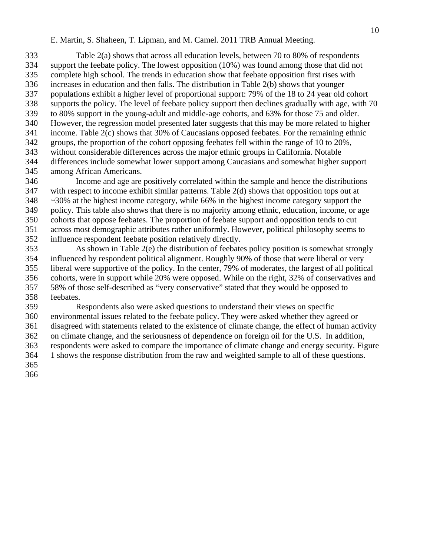333 Table 2(a) shows that across all education levels, between 70 to 80% of respondents 334 support the feebate policy. The lowest opposition (10%) was found among those that did not 335 complete high school. The trends in education show that feebate opposition first rises with 336 increases in education and then falls. The distribution in Table 2(b) shows that younger 337 populations exhibit a higher level of proportional support: 79% of the 18 to 24 year old cohort 338 supports the policy. The level of feebate policy support then declines gradually with age, with 70 339 to 80% support in the young-adult and middle-age cohorts, and 63% for those 75 and older. 340 However, the regression model presented later suggests that this may be more related to higher 341 income. Table 2(c) shows that 30% of Caucasians opposed feebates. For the remaining ethnic 342 groups, the proportion of the cohort opposing feebates fell within the range of 10 to 20%, 343 without considerable differences across the major ethnic groups in California. Notable 344 differences include somewhat lower support among Caucasians and somewhat higher support 345 among African Americans.

346 Income and age are positively correlated within the sample and hence the distributions 347 with respect to income exhibit similar patterns. Table 2(d) shows that opposition tops out at 348 ~30% at the highest income category, while 66% in the highest income category support the 349 policy. This table also shows that there is no majority among ethnic, education, income, or age 350 cohorts that oppose feebates. The proportion of feebate support and opposition tends to cut 351 across most demographic attributes rather uniformly. However, political philosophy seems to 352 influence respondent feebate position relatively directly.

353 As shown in Table 2(e) the distribution of feebates policy position is somewhat strongly 354 influenced by respondent political alignment. Roughly 90% of those that were liberal or very 355 liberal were supportive of the policy. In the center, 79% of moderates, the largest of all political 356 cohorts, were in support while 20% were opposed. While on the right, 32% of conservatives and 357 58% of those self-described as "very conservative" stated that they would be opposed to 358 feebates.

359 Respondents also were asked questions to understand their views on specific 360 environmental issues related to the feebate policy. They were asked whether they agreed or 361 disagreed with statements related to the existence of climate change, the effect of human activity 362 on climate change, and the seriousness of dependence on foreign oil for the U.S. In addition, 363 respondents were asked to compare the importance of climate change and energy security. Figure 364 1 shows the response distribution from the raw and weighted sample to all of these questions. 365

366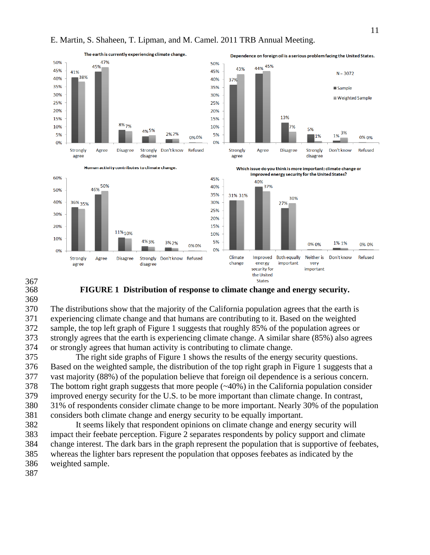



387

368 **FIGURE 1 Distribution of response to climate change and energy security.** 

370 The distributions show that the majority of the California population agrees that the earth is 371 experiencing climate change and that humans are contributing to it. Based on the weighted 372 sample, the top left graph of Figure 1 suggests that roughly 85% of the population agrees or 373 strongly agrees that the earth is experiencing climate change. A similar share (85%) also agrees 374 or strongly agrees that human activity is contributing to climate change.

375 The right side graphs of Figure 1 shows the results of the energy security questions. 376 Based on the weighted sample, the distribution of the top right graph in Figure 1 suggests that a 377 vast majority (88%) of the population believe that foreign oil dependence is a serious concern. 378 The bottom right graph suggests that more people (~40%) in the California population consider 379 improved energy security for the U.S. to be more important than climate change. In contrast, 380 31% of respondents consider climate change to be more important. Nearly 30% of the population 381 considers both climate change and energy security to be equally important.

382 It seems likely that respondent opinions on climate change and energy security will 383 impact their feebate perception. Figure 2 separates respondents by policy support and climate 384 change interest. The dark bars in the graph represent the population that is supportive of feebates, 385 whereas the lighter bars represent the population that opposes feebates as indicated by the 386 weighted sample.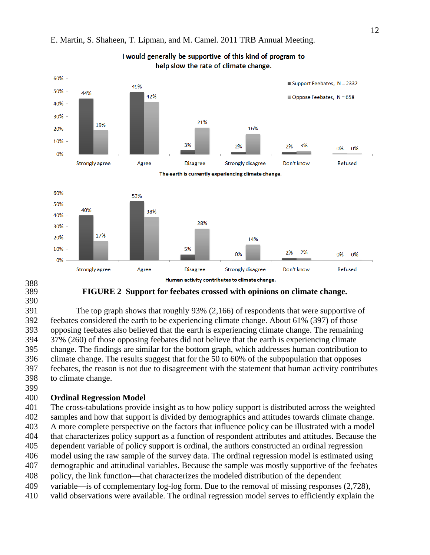

I would generally be supportive of this kind of program to

#### E. Martin, S. Shaheen, T. Lipman, and M. Camel. 2011 TRB Annual Meeting.

- 388<br>389
- 390

### 389 **FIGURE 2 Support for feebates crossed with opinions on climate change.**

391 The top graph shows that roughly 93% (2,166) of respondents that were supportive of 392 feebates considered the earth to be experiencing climate change. About 61% (397) of those 393 opposing feebates also believed that the earth is experiencing climate change. The remaining 394 37% (260) of those opposing feebates did not believe that the earth is experiencing climate 395 change. The findings are similar for the bottom graph, which addresses human contribution to 396 climate change. The results suggest that for the 50 to 60% of the subpopulation that opposes 397 feebates, the reason is not due to disagreement with the statement that human activity contributes 398 to climate change.

399

### 400 **Ordinal Regression Model**

401 The cross-tabulations provide insight as to how policy support is distributed across the weighted 402 samples and how that support is divided by demographics and attitudes towards climate change. 403 A more complete perspective on the factors that influence policy can be illustrated with a model 404 that characterizes policy support as a function of respondent attributes and attitudes. Because the 405 dependent variable of policy support is ordinal, the authors constructed an ordinal regression 406 model using the raw sample of the survey data. The ordinal regression model is estimated using

- 407 demographic and attitudinal variables. Because the sample was mostly supportive of the feebates
- 408 policy, the link function—that characterizes the modeled distribution of the dependent
- 409 variable—is of complementary log-log form. Due to the removal of missing responses  $(2,728)$ ,
- 410 valid observations were available. The ordinal regression model serves to efficiently explain the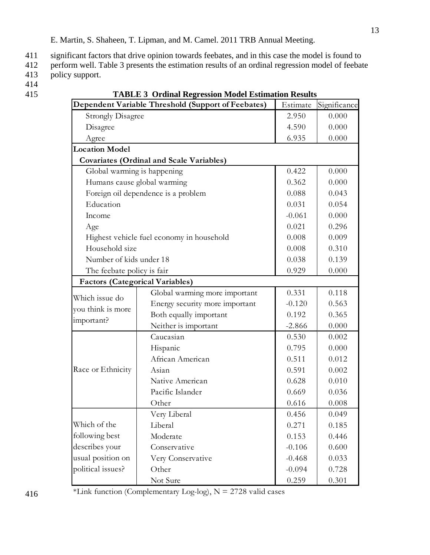411 significant factors that drive opinion towards feebates, and in this case the model is found to

412 perform well. Table 3 presents the estimation results of an ordinal regression model of feebate 413 policy support.

- 414
- 

415 **TABLE 3 Ordinal Regression Model Estimation Results** 

| Dependent Variable Threshold (Support of Feebates) | Estimate                                        | Significance |       |
|----------------------------------------------------|-------------------------------------------------|--------------|-------|
| <b>Strongly Disagree</b>                           | 2.950                                           | 0.000        |       |
| Disagree                                           | 4.590                                           | 0.000        |       |
| Agree                                              |                                                 | 6.935        | 0.000 |
| <b>Location Model</b>                              |                                                 |              |       |
|                                                    | <b>Covariates (Ordinal and Scale Variables)</b> |              |       |
| Global warming is happening                        |                                                 | 0.422        | 0.000 |
|                                                    | Humans cause global warming                     | 0.362        | 0.000 |
|                                                    | Foreign oil dependence is a problem             | 0.088        | 0.043 |
| Education                                          |                                                 | 0.031        | 0.054 |
| Income                                             |                                                 | $-0.061$     | 0.000 |
| Age                                                |                                                 | 0.021        | 0.296 |
|                                                    | Highest vehicle fuel economy in household       | 0.008        | 0.009 |
| Household size                                     |                                                 | 0.008        | 0.310 |
| Number of kids under 18                            | 0.038                                           | 0.139        |       |
| The feebate policy is fair                         |                                                 | 0.929        | 0.000 |
| <b>Factors (Categorical Variables)</b>             |                                                 |              |       |
| Which issue do                                     | Global warming more important                   | 0.331        | 0.118 |
| you think is more                                  | Energy security more important                  | $-0.120$     | 0.563 |
| important?                                         | Both equally important                          | 0.192        | 0.365 |
|                                                    | Neither is important                            | $-2.866$     | 0.000 |
|                                                    | Caucasian                                       | 0.530        | 0.002 |
|                                                    | Hispanic                                        | 0.795        | 0.000 |
|                                                    | African American                                | 0.511        | 0.012 |
| Race or Ethnicity                                  | Asian                                           | 0.591        | 0.002 |
|                                                    | Native American                                 | 0.628        | 0.010 |
|                                                    | Pacific Islander                                | 0.669        | 0.036 |
|                                                    | Other                                           | 0.616        | 0.008 |
|                                                    | Very Liberal                                    | 0.456        | 0.049 |
| Which of the                                       | Liberal                                         | 0.271        | 0.185 |
| following best                                     | Moderate                                        | 0.153        | 0.446 |
| describes your                                     | Conservative                                    | $-0.106$     | 0.600 |
| usual position on                                  | Very Conservative                               | $-0.468$     | 0.033 |
| political issues?                                  | Other                                           | $-0.094$     | 0.728 |
|                                                    | Not Sure                                        | 0.259        | 0.301 |

\*Link function (Complementary Log-log),  $N = 2728$  valid cases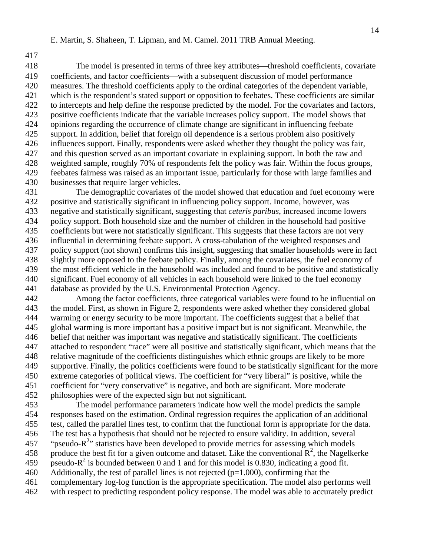417

418 The model is presented in terms of three key attributes—threshold coefficients, covariate 419 coefficients, and factor coefficients—with a subsequent discussion of model performance 420 measures. The threshold coefficients apply to the ordinal categories of the dependent variable, 421 which is the respondent's stated support or opposition to feebates. These coefficients are similar 422 to intercepts and help define the response predicted by the model. For the covariates and factors, 423 positive coefficients indicate that the variable increases policy support. The model shows that 424 opinions regarding the occurrence of climate change are significant in influencing feebate 425 support. In addition, belief that foreign oil dependence is a serious problem also positively 426 influences support. Finally, respondents were asked whether they thought the policy was fair, 427 and this question served as an important covariate in explaining support. In both the raw and 428 weighted sample, roughly 70% of respondents felt the policy was fair. Within the focus groups, 429 feebates fairness was raised as an important issue, particularly for those with large families and 430 businesses that require larger vehicles.

431 The demographic covariates of the model showed that education and fuel economy were 432 positive and statistically significant in influencing policy support. Income, however, was 433 negative and statistically significant, suggesting that *ceteris paribus*, increased income lowers 434 policy support. Both household size and the number of children in the household had positive 435 coefficients but were not statistically significant. This suggests that these factors are not very 436 influential in determining feebate support. A cross-tabulation of the weighted responses and 437 policy support (not shown) confirms this insight, suggesting that smaller households were in fact 438 slightly more opposed to the feebate policy. Finally, among the covariates, the fuel economy of 439 the most efficient vehicle in the household was included and found to be positive and statistically 440 significant. Fuel economy of all vehicles in each household were linked to the fuel economy 441 database as provided by the U.S. Environmental Protection Agency.

442 Among the factor coefficients, three categorical variables were found to be influential on 443 the model. First, as shown in Figure 2, respondents were asked whether they considered global 444 warming or energy security to be more important. The coefficients suggest that a belief that 445 global warming is more important has a positive impact but is not significant. Meanwhile, the 446 belief that neither was important was negative and statistically significant. The coefficients 447 attached to respondent "race" were all positive and statistically significant, which means that the 448 relative magnitude of the coefficients distinguishes which ethnic groups are likely to be more 449 supportive. Finally, the politics coefficients were found to be statistically significant for the more 450 extreme categories of political views. The coefficient for "very liberal" is positive, while the 451 coefficient for "very conservative" is negative, and both are significant. More moderate 452 philosophies were of the expected sign but not significant.

453 The model performance parameters indicate how well the model predicts the sample 454 responses based on the estimation. Ordinal regression requires the application of an additional 455 test, called the parallel lines test, to confirm that the functional form is appropriate for the data. 456 The test has a hypothesis that should not be rejected to ensure validity. In addition, several 457 " "pseudo- $R^{2}$ " statistics have been developed to provide metrics for assessing which models 458 produce the best fit for a given outcome and dataset. Like the conventional  $\mathbb{R}^2$ , the Nagelkerke 459 pseudo- $R^2$  is bounded between 0 and 1 and for this model is 0.830, indicating a good fit. 460 Additionally, the test of parallel lines is not rejected  $(p=1.000)$ , confirming that the 461 complementary log-log function is the appropriate specification. The model also performs well 462 with respect to predicting respondent policy response. The model was able to accurately predict

14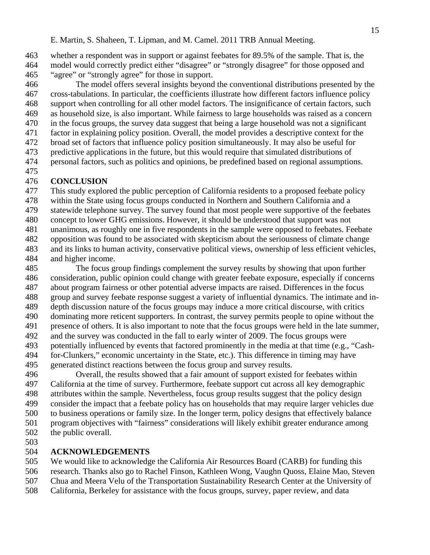463 whether a respondent was in support or against feebates for 89.5% of the sample. That is, the 464 model would correctly predict either "disagree" or "strongly disagree" for those opposed and 465 "agree" or "strongly agree" for those in support.

466 The model offers several insights beyond the conventional distributions presented by the 467 cross-tabulations. In particular, the coefficients illustrate how different factors influence policy 468 support when controlling for all other model factors. The insignificance of certain factors, such 469 as household size, is also important. While fairness to large households was raised as a concern 470 in the focus groups, the survey data suggest that being a large household was not a significant 471 factor in explaining policy position. Overall, the model provides a descriptive context for the 472 broad set of factors that influence policy position simultaneously. It may also be useful for

- 473 predictive applications in the future, but this would require that simulated distributions of
- 474 personal factors, such as politics and opinions, be predefined based on regional assumptions.
- 475

# 476 **CONCLUSION**

477 This study explored the public perception of California residents to a proposed feebate policy

- 478 within the State using focus groups conducted in Northern and Southern California and a
- 479 statewide telephone survey. The survey found that most people were supportive of the feebates
- 480 concept to lower GHG emissions. However, it should be understood that support was not
- 481 unanimous, as roughly one in five respondents in the sample were opposed to feebates. Feebate
- 482 opposition was found to be associated with skepticism about the seriousness of climate change
- 483 and its links to human activity, conservative political views, ownership of less efficient vehicles, 484 and higher income.
- 485 The focus group findings complement the survey results by showing that upon further 486 consideration, public opinion could change with greater feebate exposure, especially if concerns 487 about program fairness or other potential adverse impacts are raised. Differences in the focus 488 group and survey feebate response suggest a variety of influential dynamics. The intimate and in-489 depth discussion nature of the focus groups may induce a more critical discourse, with critics 490 dominating more reticent supporters. In contrast, the survey permits people to opine without the 491 presence of others. It is also important to note that the focus groups were held in the late summer, 492 and the survey was conducted in the fall to early winter of 2009. The focus groups were 493 potentially influenced by events that factored prominently in the media at that time (e.g., "Cash-494 for-Clunkers," economic uncertainty in the State, etc.). This difference in timing may have
- 495 generated distinct reactions between the focus group and survey results.
- 496 Overall, the results showed that a fair amount of support existed for feebates within 497 California at the time of survey. Furthermore, feebate support cut across all key demographic 498 attributes within the sample. Nevertheless, focus group results suggest that the policy design 499 consider the impact that a feebate policy has on households that may require larger vehicles due 500 to business operations or family size. In the longer term, policy designs that effectively balance 501 program objectives with "fairness" considerations will likely exhibit greater endurance among 502 the public overall.
- 503

# 504 **ACKNOWLEDGEMENTS**

- 505 We would like to acknowledge the California Air Resources Board (CARB) for funding this
- 506 research. Thanks also go to Rachel Finson, Kathleen Wong, Vaughn Quoss, Elaine Mao, Steven
- 507 Chua and Meera Velu of the Transportation Sustainability Research Center at the University of
- 508 California, Berkeley for assistance with the focus groups, survey, paper review, and data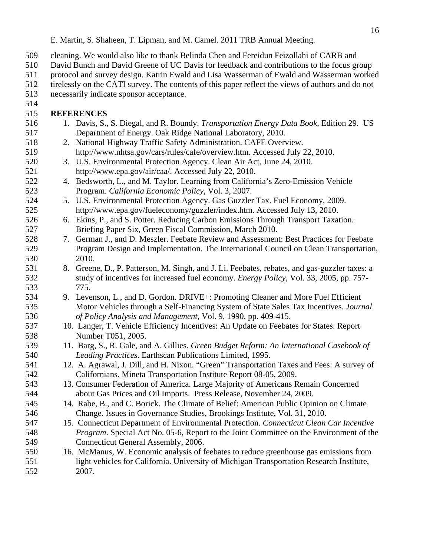- 509 cleaning. We would also like to thank Belinda Chen and Fereidun Feizollahi of CARB and
- 510 David Bunch and David Greene of UC Davis for feedback and contributions to the focus group
- 511 protocol and survey design. Katrin Ewald and Lisa Wasserman of Ewald and Wasserman worked
- 512 tirelessly on the CATI survey. The contents of this paper reflect the views of authors and do not
- 513 necessarily indicate sponsor acceptance.
- 514

# 515 **REFERENCES**

- 516 1. Davis, S., S. Diegal, and R. Boundy. *Transportation Energy Data Book,* Edition 29. US 517 Department of Energy. Oak Ridge National Laboratory, 2010. 518 2. National Highway Traffic Safety Administration. CAFE Overview. 519 http://www.nhtsa.gov/cars/rules/cafe/overview.htm. Accessed July 22, 2010. 520 3. U.S. Environmental Protection Agency. Clean Air Act, June 24, 2010.
- 521 http://www.epa.gov/air/caa/. Accessed July 22, 2010.
- 522 4. Bedsworth, L., and M. Taylor. Learning from California's Zero-Emission Vehicle 523 Program. *California Economic Policy*, Vol. 3, 2007.
- 524 5. U.S. Environmental Protection Agency. Gas Guzzler Tax. Fuel Economy, 2009. 525 http://www.epa.gov/fueleconomy/guzzler/index.htm. Accessed July 13, 2010.
- 526 6. Ekins, P., and S. Potter. Reducing Carbon Emissions Through Transport Taxation. 527 Briefing Paper Six, Green Fiscal Commission, March 2010.
- 528 7. German J., and D. Meszler. Feebate Review and Assessment: Best Practices for Feebate 529 Program Design and Implementation. The International Council on Clean Transportation, 530 2010.
- 531 8. Greene, D., P. Patterson, M. Singh, and J. Li. Feebates, rebates, and gas-guzzler taxes: a 532 study of incentives for increased fuel economy. *Energy Policy*, Vol. 33, 2005, pp. 757- 533 775.
- 534 9. Levenson, L., and D. Gordon. DRIVE+: Promoting Cleaner and More Fuel Efficient 535 Motor Vehicles through a Self-Financing System of State Sales Tax Incentives. *Journal*  536 *of Policy Analysis and Management*, Vol. 9, 1990, pp. 409-415.
- 537 10. Langer, T. Vehicle Efficiency Incentives: An Update on Feebates for States. Report 538 Number T051, 2005.
- 539 11. Barg, S., R. Gale, and A. Gillies. *Green Budget Reform: An International Casebook of*  540 *Leading Practices*. Earthscan Publications Limited, 1995.
- 541 12. A. Agrawal, J. Dill, and H. Nixon. "Green" Transportation Taxes and Fees: A survey of 542 Californians. Mineta Transportation Institute Report 08-05, 2009.
- 543 13. Consumer Federation of America. Large Majority of Americans Remain Concerned 544 about Gas Prices and Oil Imports. Press Release, November 24, 2009.
- 545 14. Rabe, B., and C. Borick. The Climate of Belief: American Public Opinion on Climate 546 Change. Issues in Governance Studies, Brookings Institute, Vol. 31, 2010.
- 547 15. Connecticut Department of Environmental Protection. *Connecticut Clean Car Incentive*  548 *Program*. Special Act No. 05-6, Report to the Joint Committee on the Environment of the 549 Connecticut General Assembly, 2006.
- 550 16. McManus, W. Economic analysis of feebates to reduce greenhouse gas emissions from 551 light vehicles for California. University of Michigan Transportation Research Institute, 552 2007.